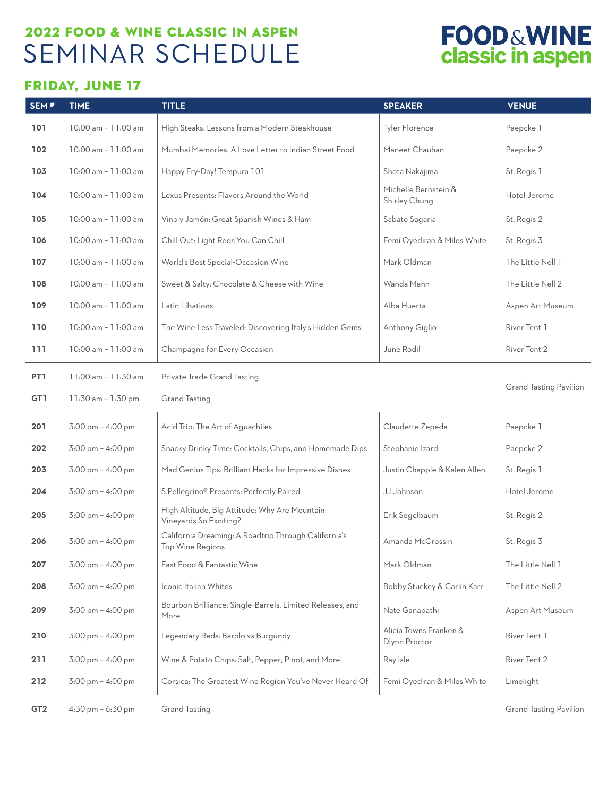### 2022 FOOD & WINE CLASSIC IN ASPEN SEMINAR SCHEDULE

## **FOOD&WINE**<br>classic in aspen

### FRIDAY, JUNE 17

| SEM#            | <b>TIME</b>                         | <b>TITLE</b>                                                             | <b>SPEAKER</b>                          | <b>VENUE</b>                  |
|-----------------|-------------------------------------|--------------------------------------------------------------------------|-----------------------------------------|-------------------------------|
| 101             | 10:00 am - 11:00 am                 | High Steaks: Lessons from a Modern Steakhouse                            | <b>Tyler Florence</b>                   | Paepcke 1                     |
| 102             | 10:00 am - 11:00 am                 | Mumbai Memories: A Love Letter to Indian Street Food                     | Maneet Chauhan                          | Paepcke 2                     |
| 103             | 10:00 am - 11:00 am                 | Happy Fry-Day! Tempura 101                                               | Shota Nakajima                          | St. Regis 1                   |
| 104             | 10:00 am - 11:00 am                 | Lexus Presents: Flavors Around the World                                 | Michelle Bernstein &<br>Shirley Chung   | Hotel Jerome                  |
| 105             | 10:00 am - 11:00 am                 | Vino y Jamón: Great Spanish Wines & Ham                                  | Sabato Sagaria                          | St. Regis 2                   |
| 106             | 10:00 am - 11:00 am                 | Chill Out: Light Reds You Can Chill                                      | Femi Oyediran & Miles White             | St. Regis 3                   |
| 107             | 10:00 am - 11:00 am                 | World's Best Special-Occasion Wine                                       | Mark Oldman                             | The Little Nell 1             |
| 108             | 10:00 am - 11:00 am                 | Sweet & Salty: Chocolate & Cheese with Wine                              | Wanda Mann                              | The Little Nell 2             |
| 109             | 10:00 am - 11:00 am                 | Latin Libations                                                          | Alba Huerta                             | Aspen Art Museum              |
| 110             | 10:00 am - 11:00 am                 | The Wine Less Traveled: Discovering Italy's Hidden Gems                  | Anthony Giglio                          | River Tent 1                  |
| 111             | 10:00 am - 11:00 am                 | Champagne for Every Occasion                                             | June Rodil                              | River Tent 2                  |
| PT <sub>1</sub> | 11:00 am - 11:30 am                 | Private Trade Grand Tasting                                              |                                         |                               |
| GT1             | $11:30$ am - $1:30$ pm              | <b>Grand Tasting</b>                                                     |                                         | <b>Grand Tasting Pavilion</b> |
| 201             | 3:00 pm - 4:00 pm                   | Acid Trip: The Art of Aguachiles                                         | Claudette Zepeda                        | Paepcke 1                     |
| 202             | 3:00 pm - 4:00 pm                   | Snacky Drinky Time: Cocktails, Chips, and Homemade Dips                  | Stephanie Izard                         | Paepcke 2                     |
| 203             | 3:00 pm - 4:00 pm                   | Mad Genius Tips: Brilliant Hacks for Impressive Dishes                   | Justin Chapple & Kalen Allen            | St. Regis 1                   |
| 204             | 3:00 pm - 4:00 pm                   | S.Pellegrino <sup>®</sup> Presents: Perfectly Paired                     | JJ Johnson                              | Hotel Jerome                  |
| 205             | 3:00 pm - 4:00 pm                   | High Altitude, Big Attitude: Why Are Mountain<br>Vineyards So Exciting?  | Erik Segelbaum                          | St. Regis 2                   |
| 206             | 3:00 pm - 4:00 pm                   | California Dreaming: A Roadtrip Through California's<br>Top Wine Regions | Amanda McCrossin                        | St. Regis 3                   |
| 207             | $3:00 \text{ pm} - 4:00 \text{ pm}$ | Fast Food & Fantastic Wine                                               | Mark Oldman                             | The Little Nell 1             |
| 208             | 3:00 pm - 4:00 pm                   | Iconic Italian Whites                                                    | Bobby Stuckey & Carlin Karr             | The Little Nell 2             |
| 209             | 3:00 pm - 4:00 pm                   | Bourbon Brilliance: Single-Barrels, Limited Releases, and<br>More        | Nate Ganapathi                          | Aspen Art Museum              |
| 210             | $3:00 \text{ pm} - 4:00 \text{ pm}$ | Legendary Reds: Barolo vs Burgundy                                       | Alicia Towns Franken &<br>Dlynn Proctor | River Tent 1                  |
| 211             | 3:00 pm - 4:00 pm                   | Wine & Potato Chips: Salt, Pepper, Pinot, and More!                      | Ray Isle                                | River Tent 2                  |
| 212             | 3:00 pm - 4:00 pm                   | Corsica: The Greatest Wine Region You've Never Heard Of                  | Femi Oyediran & Miles White             | Limelight                     |
| GT <sub>2</sub> | 4:30 pm - 6:30 pm                   | <b>Grand Tasting</b>                                                     |                                         | <b>Grand Tasting Pavilion</b> |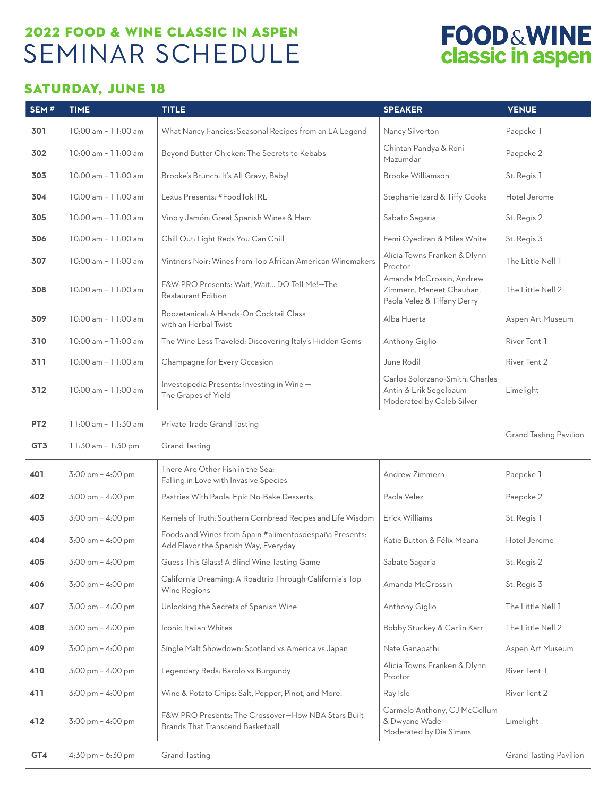### 2022 FOOD & WINE CLASSIC IN ASPEN SEMINAR SCHEDULE

# **FOOD&WINE**<br>classic in aspen

#### SATURDAY, JUNE 18

| SEM#            | <b>TIME</b>                         | <b>TITLE</b>                                                                                   | <b>SPEAKER</b>                                                                         | <b>VENUE</b>                  |
|-----------------|-------------------------------------|------------------------------------------------------------------------------------------------|----------------------------------------------------------------------------------------|-------------------------------|
| 301             | 10:00 am - 11:00 am                 | What Nancy Fancies: Seasonal Recipes from an LA Legend                                         | Nancy Silverton                                                                        | Paepcke 1                     |
| 302             | 10:00 am - 11:00 am                 | Beyond Butter Chicken: The Secrets to Kebabs                                                   | Chintan Pandya & Roni<br>Mazumdar                                                      | Paepcke 2                     |
| 303             | 10:00 am - 11:00 am                 | Brooke's Brunch: It's All Gravy, Baby!                                                         | Brooke Williamson                                                                      | St. Regis 1                   |
| 304             | 10:00 am - 11:00 am                 | Lexus Presents: #FoodTok IRL                                                                   | Stephanie Izard & Tiffy Cooks                                                          | Hotel Jerome                  |
| 305             | 10:00 am - 11:00 am                 | Vino y Jamón: Great Spanish Wines & Ham                                                        | Sabato Sagaria                                                                         | St. Regis 2                   |
| 306             | 10:00 am - 11:00 am                 | Chill Out: Light Reds You Can Chill                                                            | Femi Oyediran & Miles White                                                            | St. Regis 3                   |
| 307             | 10:00 am - 11:00 am                 | Vintners Noir: Wines from Top African American Winemakers                                      | Alicia Towns Franken & Dlynn<br>Proctor                                                | The Little Nell 1             |
| 308             | 10:00 am - 11:00 am                 | F&W PRO Presents: Wait, Wait DO Tell Me!-The<br>Restaurant Edition                             | Amanda McCrossin, Andrew<br>Zimmern, Maneet Chauhan,<br>Paola Velez & Tiffany Derry    | The Little Nell 2             |
| 309             | 10:00 am - 11:00 am                 | Boozetanical: A Hands-On Cocktail Class<br>with an Herbal Twist                                | Alba Huerta                                                                            | Aspen Art Museum              |
| 310             | 10:00 am - 11:00 am                 | The Wine Less Traveled: Discovering Italy's Hidden Gems                                        | Anthony Giglio                                                                         | River Tent 1                  |
| 311             | 10:00 am - 11:00 am                 | Champagne for Every Occasion                                                                   | June Rodil                                                                             | River Tent 2                  |
| 312             | 10:00 am - 11:00 am                 | Investopedia Presents: Investing in Wine-<br>The Grapes of Yield                               | Carlos Solorzano-Smith, Charles<br>Antin & Erik Segelbaum<br>Moderated by Caleb Silver | Limelight                     |
| PT <sub>2</sub> | 11:00 am - 11:30 am                 | Private Trade Grand Tasting                                                                    |                                                                                        |                               |
| GT3             | 11:30 am - 1:30 pm                  | <b>Grand Tasting</b>                                                                           |                                                                                        | <b>Grand Tasting Pavilion</b> |
| 401             | 3:00 pm - 4:00 pm                   | There Are Other Fish in the Sea:<br>Falling in Love with Invasive Species                      | Andrew Zimmern                                                                         | Paepcke 1                     |
| 402             | 3:00 pm - 4:00 pm                   | Pastries With Paola: Epic No-Bake Desserts                                                     | Paola Velez                                                                            | Paepcke 2                     |
| 403             | 3:00 pm - 4:00 pm                   | Kernels of Truth: Southern Cornbread Recipes and Life Wisdom                                   | Erick Williams                                                                         | St. Regis 1                   |
| 404             | $3:00 \text{ pm} - 4:00 \text{ pm}$ | Foods and Wines from Spain #alimentosdespaña Presents:<br>Add Flavor the Spanish Way, Everyday | Katie Button & Félix Meana                                                             | Hotel Jerome                  |
| 405             | 3:00 pm - 4:00 pm                   | Guess This Glass! A Blind Wine Tasting Game                                                    | Sabato Sagaria                                                                         | St. Regis 2                   |
| 406             | 3:00 pm - 4:00 pm                   | California Dreaming: A Roadtrip Through California's Top<br>Wine Regions                       | Amanda McCrossin                                                                       | St. Regis 3                   |
| 407             | $3:00 \text{ pm} - 4:00 \text{ pm}$ | Unlocking the Secrets of Spanish Wine                                                          | Anthony Giglio                                                                         | The Little Nell 1             |
| 408             | $3:00 \text{ pm} - 4:00 \text{ pm}$ | Iconic Italian Whites                                                                          | Bobby Stuckey & Carlin Karr                                                            | The Little Nell 2             |
| 409             | 3:00 pm - 4:00 pm                   | Single Malt Showdown: Scotland vs America vs Japan                                             | Nate Ganapathi                                                                         | Aspen Art Museum              |
| 410             | 3:00 pm - 4:00 pm                   | Legendary Reds: Barolo vs Burgundy                                                             | Alicia Towns Franken & Dlynn<br>Proctor                                                | River Tent 1                  |
| 411             | $3:00 \text{ pm} - 4:00 \text{ pm}$ | Wine & Potato Chips: Salt, Pepper, Pinot, and More!                                            | Ray Isle                                                                               | River Tent 2                  |
| 412             | 3:00 pm - 4:00 pm                   | F&W PRO Presents: The Crossover-How NBA Stars Built<br><b>Brands That Transcend Basketball</b> | Carmelo Anthony, CJ McCollum<br>& Dwyane Wade<br>Moderated by Dia Simms                | Limelight                     |
| GT4             | 4:30 pm - 6:30 pm                   | <b>Grand Tasting</b>                                                                           |                                                                                        | <b>Grand Tasting Pavilion</b> |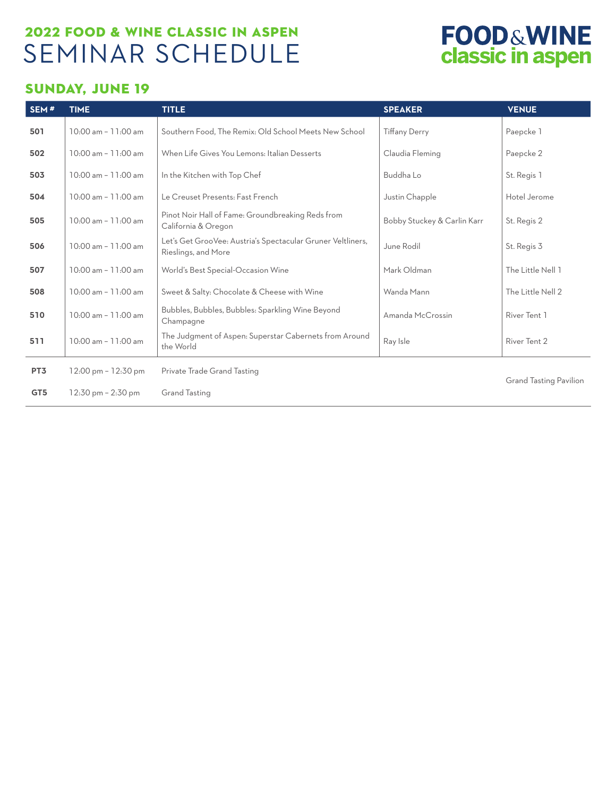### 2022 FOOD & WINE CLASSIC IN ASPEN SEMINAR SCHEDULE

## **FOOD&WINE**<br>classic in aspen

#### SUNDAY, JUNE 19

| SEM <sup>#</sup> | <b>TIME</b>                           | <b>TITLE</b>                                                                       | <b>SPEAKER</b>              | <b>VENUE</b>                  |
|------------------|---------------------------------------|------------------------------------------------------------------------------------|-----------------------------|-------------------------------|
| 501              | 10:00 am - 11:00 am                   | Southern Food. The Remix: Old School Meets New School                              | <b>Tiffany Derry</b>        | Paepcke 1                     |
| 502              | $10:00$ am $-11:00$ am                | When Life Gives You Lemons: Italian Desserts                                       | Claudia Fleming             | Paepcke 2                     |
| 503              | 10:00 am - 11:00 am                   | In the Kitchen with Top Chef                                                       | Buddha Lo                   | St. Regis 1                   |
| 504              | $10:00$ am $-11:00$ am                | Le Creuset Presents: Fast French                                                   | Justin Chapple              | Hotel Jerome                  |
| 505              | 10:00 am - 11:00 am                   | Pinot Noir Hall of Fame: Groundbreaking Reds from<br>California & Oregon           | Bobby Stuckey & Carlin Karr | St. Regis 2                   |
| 506              | 10:00 am - 11:00 am                   | Let's Get GrooVee: Austria's Spectacular Gruner Veltliners,<br>Rieslings, and More | June Rodil                  | St. Regis 3                   |
| 507              | 10:00 am - 11:00 am                   | World's Best Special-Occasion Wine                                                 | Mark Oldman                 | The Little Nell 1             |
| 508              | 10:00 am - 11:00 am                   | Sweet & Salty: Chocolate & Cheese with Wine                                        | Wanda Mann                  | The Little Nell 2             |
| 510              | $10:00$ am - $11:00$ am               | Bubbles, Bubbles, Bubbles: Sparkling Wine Beyond<br>Champagne                      | Amanda McCrossin            | River Tent 1                  |
| 511              | 10:00 am - 11:00 am                   | The Judgment of Aspen: Superstar Cabernets from Around<br>the World                | Ray Isle                    | River Tent 2                  |
| PT <sub>3</sub>  | $12:00 \text{ pm} - 12:30 \text{ pm}$ | Private Trade Grand Tasting                                                        |                             | <b>Grand Tasting Pavilion</b> |
| GT <sub>5</sub>  | $12:30 \text{ pm} - 2:30 \text{ pm}$  | <b>Grand Tasting</b>                                                               |                             |                               |